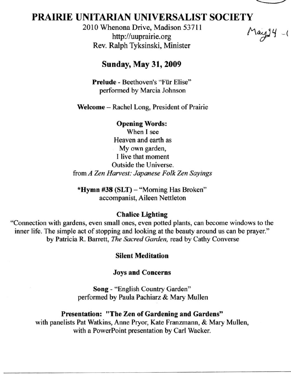

# **PRAIRIE** UNITARIAN UNIVERSALIST SOCIETY

2010 Whenona Drive, Madison 53711 http://uuprairie.org Rev. Ralph Tyksinski, Minister

 $May14 - ($ 

# Sunday, May 31, 2009

Prelude - Beethoven's "Fiir Elise" perfonned by Marcia Johnson

Welcome – Rachel Long, President of Prairie

Opening Words: When I see Heaven and earth as My own garden, I live that moment Outside the Universe. from *A Zen Harvest: Japanese Folk Zen Sayings* 

\*Hymn #38 (SLT) - "Morning Has Broken" accompanist, Aileen Nettleton

### Chalice Lighting

"Connection with gardens, even small ones, even potted plants, can become windows to the inner life. The simple act of stopping and looking at the beauty around us can be prayer." by Patricia R. Barrett, *The Sacred Garden,* read by Cathy Converse

### Silent Meditation

### Joys and Concerns

Song - "English Country Garden" perfonned by Paula Pachiarz & Mary Mullen

#### Presentation: "The Zen of Gardening and Gardens"

with panelists Pat Watkins, Anne Pryor, Kate Franzmann, & Mary Mullen, with a PowerPoint presentation by Carl Wacker.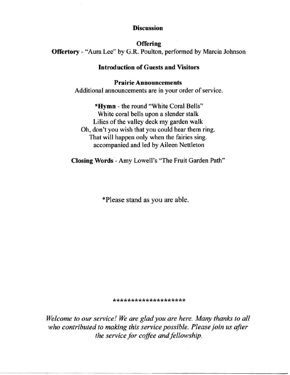#### **Discussion**

**Offering** Offertory - "Aura Lee" by G.R. Poulton, performed by Marcia Johnson

#### Introduction of Guests and Visitors

#### Prairie Announcements

Additional announcements are in your order of service.

"Hymn - the round "White Coral Bells" White coral bells upon a slender stalk Lilies of the valley deck my garden walk Oh, don't you wish that you could hear them ring. That will happen only when the fairies sing. accompanied and led by Aileen Nettleton

Closing Words - Amy Lowell's "The Fruit Garden Path"

'Please stand as you are able.

#### **\*\*\*\*\*\*\*\*\*\*\*\*\*\*\*\*\*\*\*\***

*Welcome to our service! We are glad you are here. Many thanks* to *all who contributed to making this service possible. Please join us after the service for coffee and fellowship.*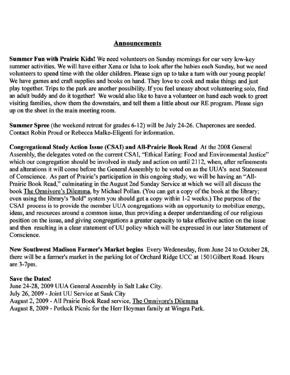### Announcements

Summer Fun with Prairie Kids! We need volunteers on Sunday mornings for our very low-key summer activities. We will have either Xena or Isha to look after the babies each Sunday, but we need volunteers to spend time with the older children. Please sign up to take a tum with our young people! We have games and craft supplies and books on hand. They love to cook and make things and just play together. Trips to the park are another possibility. If you feel uneasy about volunteering solo, find an adult buddy and do it together! We would also like to have a volunteer on hand each week to greet visiting families, show them the downstairs, and tell them a little about our RE program. Please sign up on the sheet in the main meeting room.

Summer Spree (the weekend retreat for grades 6-12) will be July 24-26. Chaperones are needed. Contact Robin Proud or Rebecca Malke-Eligenti for information.

Congregational Study Action Issue (CSAI) and All-Prairie Book Read At the 2008 General Assembly, the delegates voted on the current CSAI, "Ethical Eating: Food and Environmental Justice" which our congregation should be involved in study and action on until 2112, when, after refinements and alterations it will come before the General Assembly to be voted on as the UUA's next Statement of Conscience. As part of Prairie's participation in this ongoing study, we will be having an "AII-Prairie Book Read," culminating in the August 2nd Sunday Service at which we will all discuss the book The Omnivore's Dilemma, by Michael Pollan. (You can get a copy of the book at the library; even using the library's "hold" system you should get a copy within 1-2 weeks.) The purpose of the **CSAI process is to provide the member UUA congregations with an opportunity to mobilize energy,**  ideas, and resources around a common issue, thus providing a deeper understanding of our religious position on the issue, and giving congregations a greater capacity to take effective action on the issue and then resulting in a clear statement of UU policy which will be expressed in our later Statement of **Conscience.** 

New Southwest Madison Farmer's Market begins Every Wedenesday, from June 24 to October 28, there will be a farmer's market in the parking lot of Orchard Ridge UCC at 150lGilbert Road. Hours are 3-7pm.

### Save the Dates!

June 24-28, 2009 UUA General Assembly in Salt Lake City. July 26, 2009 - Joint UU Service at Sauk City August 2, 2009 - All Prairie Book Read service, The Omnivore's Dilemma August 8, 2009 - Potluck Picnic for the Herr Hoyman family at Wingra Park.